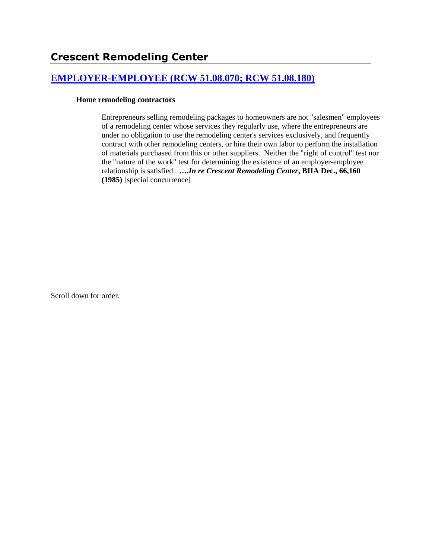# **[EMPLOYER-EMPLOYEE \(RCW 51.08.070; RCW 51.08.180\)](http://www.biia.wa.gov/SDSubjectIndex.html#EMPLOYER_EMPLOYEE)**

## **Home remodeling contractors**

Entrepreneurs selling remodeling packages to homeowners are not "salesmen" employees of a remodeling center whose services they regularly use, where the entrepreneurs are under no obligation to use the remodeling center's services exclusively, and frequently contract with other remodeling centers, or hire their own labor to perform the installation of materials purchased from this or other suppliers. Neither the "right of control" test nor the "nature of the work" test for determining the existence of an employer-employee relationship is satisfied. **….***In re Crescent Remodeling Center***, BIIA Dec., 66,160 (1985)** [special concurrence]

Scroll down for order.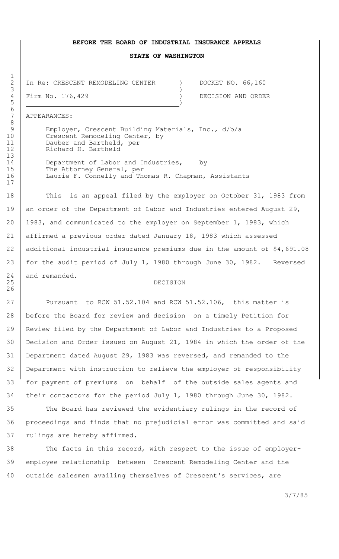#### **BEFORE THE BOARD OF INDUSTRIAL INSURANCE APPEALS**

#### **STATE OF WASHINGTON**

In Re: CRESCENT REMODELING CENTER ) DOCKET NO. 66,160  $3 \left( \frac{1}{2} \right)$ 

4 Firm No. 176,429 (a) DECISION AND ORDER

7 APPEARANCES:

Employer, Crescent Building Materials, Inc., d/b/a 10 Crescent Remodeling Center, by 11 Dauber and Bartheld, per 12 Richard H. Bartheld

14 Department of Labor and Industries, by 15 The Attorney General, per 16 | Laurie F. Connelly and Thomas R. Chapman, Assistants

18 This is an appeal filed by the employer on October 31, 1983 from 19 an order of the Department of Labor and Industries entered August 29, 20 1983, and communicated to the employer on September 1, 1983, which 21 affirmed a previous order dated January 18, 1983 which assessed 22 additional industrial insurance premiums due in the amount of \$4,691.08 23 | for the audit period of July 1, 1980 through June 30, 1982. Reversed 24 and remanded.

## 25 DECISION

27 Pursuant to RCW 51.52.104 and RCW 51.52.106, this matter is before the Board for review and decision on a timely Petition for Review filed by the Department of Labor and Industries to a Proposed Decision and Order issued on August 21, 1984 in which the order of the Department dated August 29, 1983 was reversed, and remanded to the Department with instruction to relieve the employer of responsibility for payment of premiums on behalf of the outside sales agents and their contactors for the period July 1, 1980 through June 30, 1982.

35 The Board has reviewed the evidentiary rulings in the record of 36 proceedings and finds that no prejudicial error was committed and said 37 rulings are hereby affirmed.

38 The facts in this record, with respect to the issue of employer-39 employee relationship between Crescent Remodeling Center and the 40 outside salesmen availing themselves of Crescent's services, are

3/7/85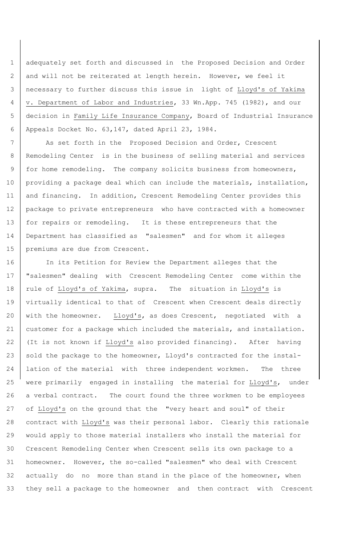adequately set forth and discussed in the Proposed Decision and Order 2 and will not be reiterated at length herein. However, we feel it necessary to further discuss this issue in light of Lloyd's of Yakima v. Department of Labor and Industries, 33 Wn.App. 745 (1982), and our decision in Family Life Insurance Company, Board of Industrial Insurance Appeals Docket No. 63,147, dated April 23, 1984.

7 | As set forth in the Proposed Decision and Order, Crescent 8 Remodeling Center is in the business of selling material and services 9 | for home remodeling. The company solicits business from homeowners, 10 | providing a package deal which can include the materials, installation, 11 and financing. In addition, Crescent Remodeling Center provides this 12 package to private entrepreneurs who have contracted with a homeowner 13 | for repairs or remodeling. It is these entrepreneurs that the 14 Department has classified as "salesmen" and for whom it alleges 15 | premiums are due from Crescent.

 In its Petition for Review the Department alleges that the 17 | "salesmen" dealing with Crescent Remodeling Center come within the 18 | rule of Lloyd's of Yakima, supra. The situation in Lloyd's is virtually identical to that of Crescent when Crescent deals directly 20 with the homeowner. Lloyd's, as does Crescent, negotiated with a 21 | customer for a package which included the materials, and installation. (It is not known if Lloyd's also provided financing). After having 23 sold the package to the homeowner, Lloyd's contracted for the instal-24 Iation of the material with three independent workmen. The three were primarily engaged in installing the material for Lloyd's, under a verbal contract. The court found the three workmen to be employees of Lloyd's on the ground that the "very heart and soul" of their contract with Lloyd's was their personal labor. Clearly this rationale would apply to those material installers who install the material for Crescent Remodeling Center when Crescent sells its own package to a homeowner. However, the so-called "salesmen" who deal with Crescent 32 actually do no more than stand in the place of the homeowner, when they sell a package to the homeowner and then contract with Crescent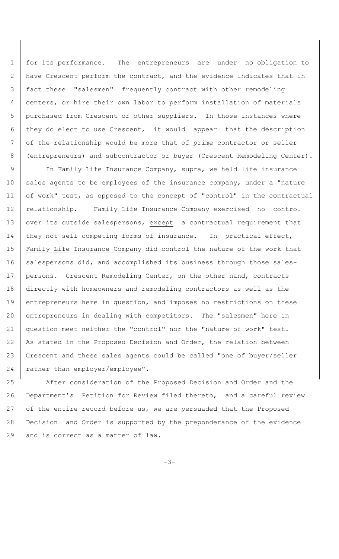for its performance. The entrepreneurs are under no obligation to have Crescent perform the contract, and the evidence indicates that in fact these "salesmen" frequently contract with other remodeling centers, or hire their own labor to perform installation of materials purchased from Crescent or other suppliers. In those instances where they do elect to use Crescent, it would appear that the description 7 of the relationship would be more that of prime contractor or seller (entrepreneurs) and subcontractor or buyer (Crescent Remodeling Center).

9 | In Family Life Insurance Company, supra, we held life insurance 10 | sales agents to be employees of the insurance company, under a "nature 11 of work" test, as opposed to the concept of "control" in the contractual 12 relationship. Family Life Insurance Company exercised no control 13 | over its outside salespersons, except a contractual requirement that 14 | they not sell competing forms of insurance. In practical effect, 15 | Family Life Insurance Company did control the nature of the work that 16 salespersons did, and accomplished its business through those sales-17 | persons. Crescent Remodeling Center, on the other hand, contracts 18 directly with homeowners and remodeling contractors as well as the 19 entrepreneurs here in question, and imposes no restrictions on these 20 entrepreneurs in dealing with competitors. The "salesmen" here in 21 question meet neither the "control" nor the "nature of work" test. 22 | As stated in the Proposed Decision and Order, the relation between 23 Crescent and these sales agents could be called "one of buyer/seller 24 | rather than employer/employee".

 After consideration of the Proposed Decision and Order and the Department's Petition for Review filed thereto, and a careful review 27 of the entire record before us, we are persuaded that the Proposed Decision and Order is supported by the preponderance of the evidence and is correct as a matter of law.

-3-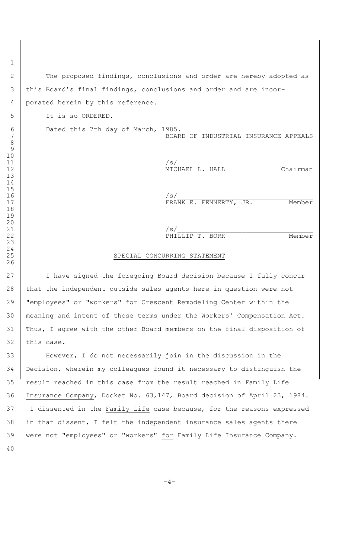2 The proposed findings, conclusions and order are hereby adopted as 3 this Board's final findings, conclusions and order and are incor-4 porated herein by this reference.

It is so ORDERED.

 

 

 

 

 Dated this 7th day of March, 1985. BOARD OF INDUSTRIAL INSURANCE APPEALS

 /s/ 12 | MICHAEL L. HALL Chairman

 /s/ 17 | FRANK E. FENNERTY, JR. Member

 $/s/$ 22 | RHILLIP T. BORK Member

# SPECIAL CONCURRING STATEMENT

27 | I have signed the foregoing Board decision because I fully concur 28 that the independent outside sales agents here in question were not "employees" or "workers" for Crescent Remodeling Center within the meaning and intent of those terms under the Workers' Compensation Act. Thus, I agree with the other Board members on the final disposition of this case.

 However, I do not necessarily join in the discussion in the Decision, wherein my colleagues found it necessary to distinguish the result reached in this case from the result reached in Family Life Insurance Company, Docket No. 63,147, Board decision of April 23, 1984. 37 I dissented in the Family Life case because, for the reasons expressed in that dissent, I felt the independent insurance sales agents there 39 were not "employees" or "workers" for Family Life Insurance Company. 

 $-4-$